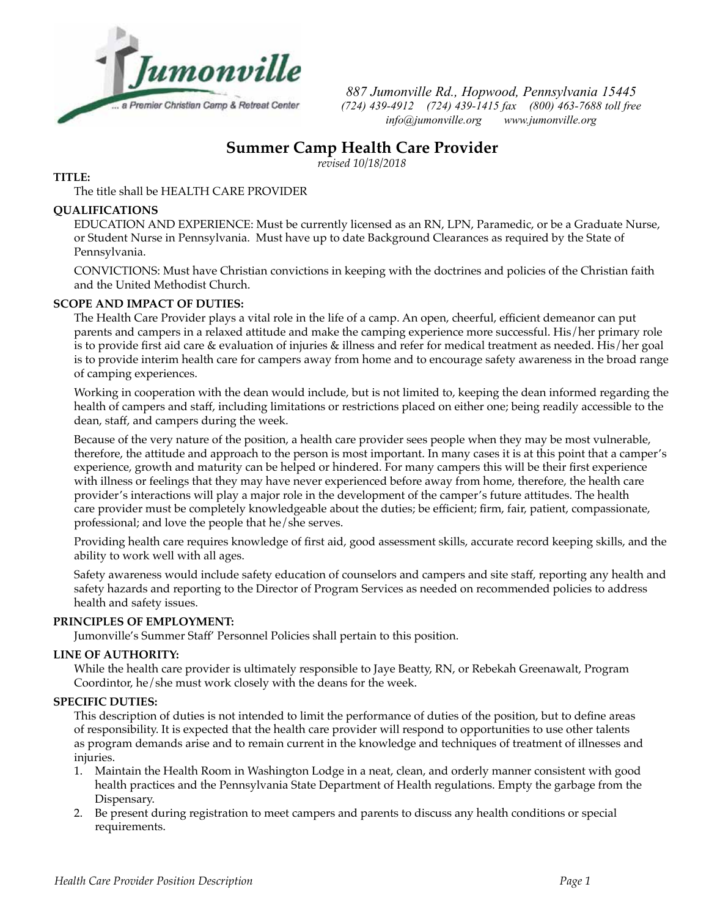

*887 Jumonville Rd., Hopwood, Pennsylvania 15445 (724) 439-4912 (724) 439-1415 fax (800) 463-7688 toll free info@jumonville.org www.jumonville.org*

# **Summer Camp Health Care Provider**

*revised 10/18/2018*

## **TITLE:**

The title shall be HEALTH CARE PROVIDER

## **QUALIFICATIONS**

EDUCATION AND EXPERIENCE: Must be currently licensed as an RN, LPN, Paramedic, or be a Graduate Nurse, or Student Nurse in Pennsylvania. Must have up to date Background Clearances as required by the State of Pennsylvania.

CONVICTIONS: Must have Christian convictions in keeping with the doctrines and policies of the Christian faith and the United Methodist Church.

# **SCOPE AND IMPACT OF DUTIES:**

The Health Care Provider plays a vital role in the life of a camp. An open, cheerful, efficient demeanor can put parents and campers in a relaxed attitude and make the camping experience more successful. His/her primary role is to provide first aid care & evaluation of injuries & illness and refer for medical treatment as needed. His/her goal is to provide interim health care for campers away from home and to encourage safety awareness in the broad range of camping experiences.

Working in cooperation with the dean would include, but is not limited to, keeping the dean informed regarding the health of campers and staff, including limitations or restrictions placed on either one; being readily accessible to the dean, staff, and campers during the week.

Because of the very nature of the position, a health care provider sees people when they may be most vulnerable, therefore, the attitude and approach to the person is most important. In many cases it is at this point that a camper's experience, growth and maturity can be helped or hindered. For many campers this will be their first experience with illness or feelings that they may have never experienced before away from home, therefore, the health care provider's interactions will play a major role in the development of the camper's future attitudes. The health care provider must be completely knowledgeable about the duties; be efficient; firm, fair, patient, compassionate, professional; and love the people that he/she serves.

Providing health care requires knowledge of first aid, good assessment skills, accurate record keeping skills, and the ability to work well with all ages.

Safety awareness would include safety education of counselors and campers and site staff, reporting any health and safety hazards and reporting to the Director of Program Services as needed on recommended policies to address health and safety issues.

## **PRINCIPLES OF EMPLOYMENT:**

Jumonville's Summer Staff' Personnel Policies shall pertain to this position.

## **LINE OF AUTHORITY:**

While the health care provider is ultimately responsible to Jaye Beatty, RN, or Rebekah Greenawalt, Program Coordintor, he/she must work closely with the deans for the week.

## **SPECIFIC DUTIES:**

This description of duties is not intended to limit the performance of duties of the position, but to define areas of responsibility. It is expected that the health care provider will respond to opportunities to use other talents as program demands arise and to remain current in the knowledge and techniques of treatment of illnesses and injuries.

- 1. Maintain the Health Room in Washington Lodge in a neat, clean, and orderly manner consistent with good health practices and the Pennsylvania State Department of Health regulations. Empty the garbage from the Dispensary.
- 2. Be present during registration to meet campers and parents to discuss any health conditions or special requirements.